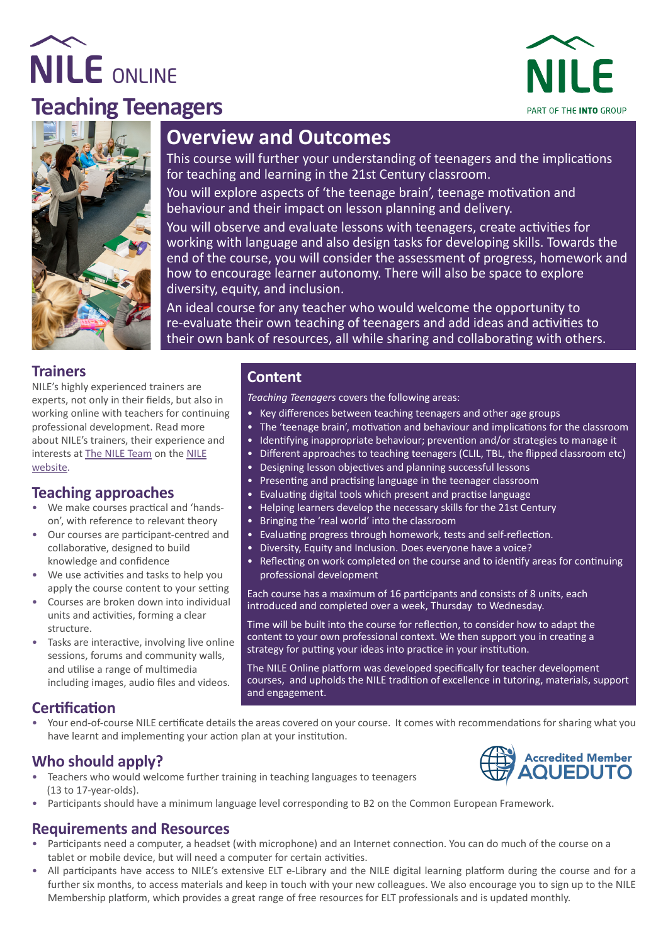





# **Overview and Outcomes**

This course will further your understanding of teenagers and the implications for teaching and learning in the 21st Century classroom.

You will explore aspects of 'the teenage brain', teenage motivation and behaviour and their impact on lesson planning and delivery.

You will observe and evaluate lessons with teenagers, create activities for working with language and also design tasks for developing skills. Towards the end of the course, you will consider the assessment of progress, homework and how to encourage learner autonomy. There will also be space to explore diversity, equity, and inclusion.

An ideal course for any teacher who would welcome the opportunity to re-evaluate their own teaching of teenagers and add ideas and activities to their own bank of resources, all while sharing and collaborating with others.

#### **Trainers**

NILE's highly experienced trainers are experts, not only in their fields, but also in working online with teachers for continuing professional development. Read more about NILE's trainers, their experience and interests at [The NILE Team](https://www.nile-elt.com/ourpeople) on the [NILE](https://www.nile-elt.com) [website](https://www.nile-elt.com).

#### **Teaching approaches**

- We make courses practical and 'handson', with reference to relevant theory
- Our courses are participant-centred and collaborative, designed to build knowledge and confidence
- We use activities and tasks to help you apply the course content to your setting
- Courses are broken down into individual units and activities, forming a clear structure.
- Tasks are interactive, involving live online sessions, forums and community walls, and utilise a range of multimedia including images, audio files and videos.

#### **Content**

*Teaching Teenagers* covers the following areas:

- Key differences between teaching teenagers and other age groups
- The 'teenage brain', motivation and behaviour and implications for the classroom
- Identifying inappropriate behaviour; prevention and/or strategies to manage it
- Different approaches to teaching teenagers (CLIL, TBL, the flipped classroom etc)
- Designing lesson objectives and planning successful lessons
- Presenting and practising language in the teenager classroom
- Evaluating digital tools which present and practise language
- Helping learners develop the necessary skills for the 21st Century
- Bringing the 'real world' into the classroom
- Evaluating progress through homework, tests and self-reflection.
- Diversity, Equity and Inclusion. Does everyone have a voice?
- Reflecting on work completed on the course and to identify areas for continuing professional development

Each course has a maximum of 16 participants and consists of 8 units, each introduced and completed over a week, Thursday to Wednesday.

Time will be built into the course for reflection, to consider how to adapt the content to your own professional context. We then support you in creating a strategy for putting your ideas into practice in your institution.

The NILE Online platform was developed specifically for teacher development courses, and upholds the NILE tradition of excellence in tutoring, materials, support and engagement.

#### **Certification**

• Your end-of-course NILE certificate details the areas covered on your course. It comes with recommendations for sharing what you have learnt and implementing your action plan at your institution.

### **Who should apply?**

- Teachers who would welcome further training in teaching languages to teenagers (13 to 17-year-olds).
- Participants should have a minimum language level corresponding to B2 on the Common European Framework.

#### **Requirements and Resources**

- Participants need a computer, a headset (with microphone) and an Internet connection. You can do much of the course on a tablet or mobile device, but will need a computer for certain activities.
- All participants have access to NILE's extensive ELT e-Library and the NILE digital learning platform during the course and for a further six months, to access materials and keep in touch with your new colleagues. We also encourage you to sign up to the NILE [Membership platform](https://www.nile-elt.com/membership), which provides a great range of free resources for ELT professionals and is updated monthly.